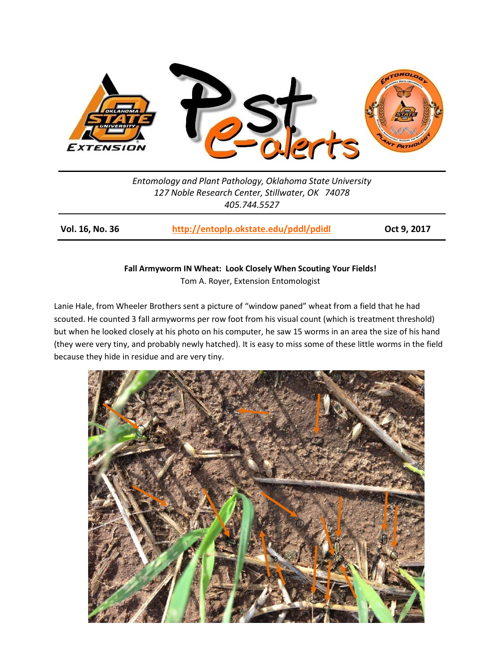

*Entomology and Plant Pathology, Oklahoma State University 127 Noble Research Center, Stillwater, OK 74078 405.744.5527*

**Vol. 16, No. 36 <http://entoplp.okstate.edu/pddl/pdidl> Oct 9, 2017**

## **Fall Armyworm IN Wheat: Look Closely When Scouting Your Fields!**

Tom A. Royer, Extension Entomologist

Lanie Hale, from Wheeler Brothers sent a picture of "window paned" wheat from a field that he had scouted. He counted 3 fall armyworms per row foot from his visual count (which is treatment threshold) but when he looked closely at his photo on his computer, he saw 15 worms in an area the size of his hand (they were very tiny, and probably newly hatched). It is easy to miss some of these little worms in the field because they hide in residue and are very tiny.